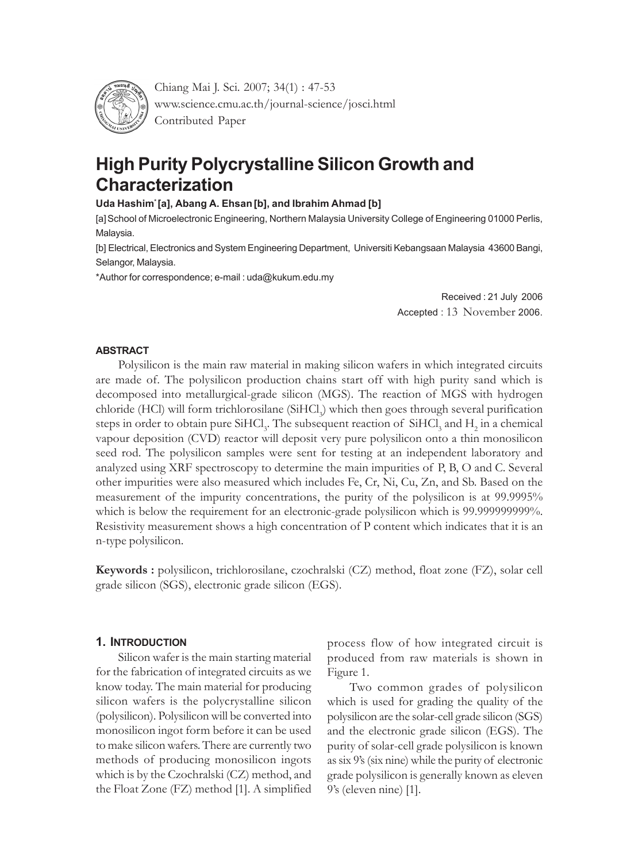

Chiang Mai J. Sci. 2007; 34(1) : 47-53 www.science.cmu.ac.th/journal-science/josci.html Contributed Paper

# **High Purity Polycrystalline Silicon Growth and Characterization**

## **Uda Hashim\* [a], Abang A. Ehsan[b], and Ibrahim Ahmad [b]**

[a]School of Microelectronic Engineering, Northern Malaysia University College of Engineering 01000 Perlis, Malaysia.

[b] Electrical, Electronics and System Engineering Department, Universiti Kebangsaan Malaysia 43600 Bangi, Selangor, Malaysia.

\*Author for correspondence; e-mail : uda@kukum.edu.my

Received : 21 July 2006 Accepted : 13 November 2006.

#### **ABSTRACT**

Polysilicon is the main raw material in making silicon wafers in which integrated circuits are made of. The polysilicon production chains start off with high purity sand which is decomposed into metallurgical-grade silicon (MGS). The reaction of MGS with hydrogen chloride (HCl) will form trichlorosilane (SiHCl<sub>3</sub>) which then goes through several purification steps in order to obtain pure SiHCl<sub>3</sub>. The subsequent reaction of  $\rm SiHCl_{3}$  and  $\rm H_{2}$  in a chemical vapour deposition (CVD) reactor will deposit very pure polysilicon onto a thin monosilicon seed rod. The polysilicon samples were sent for testing at an independent laboratory and analyzed using XRF spectroscopy to determine the main impurities of P, B, O and C. Several other impurities were also measured which includes Fe, Cr, Ni, Cu, Zn, and Sb. Based on the measurement of the impurity concentrations, the purity of the polysilicon is at 99.9995% which is below the requirement for an electronic-grade polysilicon which is 99.999999999%. Resistivity measurement shows a high concentration of P content which indicates that it is an n-type polysilicon.

**Keywords :** polysilicon, trichlorosilane, czochralski (CZ) method, float zone (FZ), solar cell grade silicon (SGS), electronic grade silicon (EGS).

# **1. INTRODUCTION**

Silicon wafer is the main starting material for the fabrication of integrated circuits as we know today. The main material for producing silicon wafers is the polycrystalline silicon (polysilicon). Polysilicon will be converted into monosilicon ingot form before it can be used to make silicon wafers. There are currently two methods of producing monosilicon ingots which is by the Czochralski (CZ) method, and the Float Zone (FZ) method [1]. A simplified

process flow of how integrated circuit is produced from raw materials is shown in Figure 1.

Two common grades of polysilicon which is used for grading the quality of the polysilicon are the solar-cell grade silicon (SGS) and the electronic grade silicon (EGS). The purity of solar-cell grade polysilicon is known as six 9's (six nine) while the purity of electronic grade polysilicon is generally known as eleven 9's (eleven nine) [1].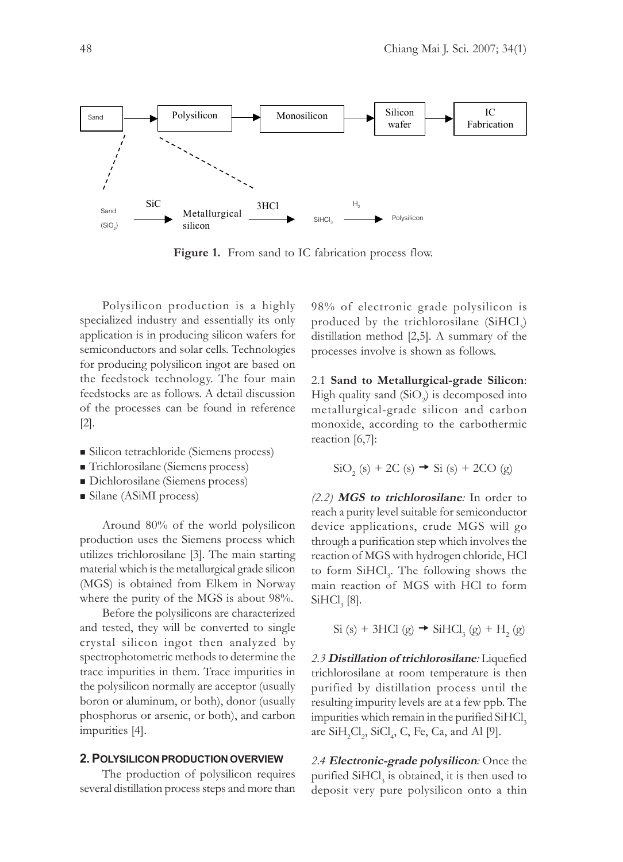

Figure 1. From sand to IC fabrication process flow.

Polysilicon production is a highly specialized industry and essentially its only application is in producing silicon wafers for semiconductors and solar cells. Technologies for producing polysilicon ingot are based on the feedstock technology. The four main feedstocks are as follows. A detail discussion of the processes can be found in reference [2].

- Silicon tetrachloride (Siemens process)
- Trichlorosilane (Siemens process)
- Dichlorosilane (Siemens process)
- Silane (ASiMI process)

Around 80% of the world polysilicon production uses the Siemens process which utilizes trichlorosilane [3]. The main starting material which is the metallurgical grade silicon (MGS) is obtained from Elkem in Norway where the purity of the MGS is about 98%.

Before the polysilicons are characterized and tested, they will be converted to single crystal silicon ingot then analyzed by spectrophotometric methods to determine the trace impurities in them. Trace impurities in the polysilicon normally are acceptor (usually boron or aluminum, or both), donor (usually phosphorus or arsenic, or both), and carbon impurities [4].

#### **2. POLYSILICON PRODUCTION OVERVIEW**

The production of polysilicon requires several distillation process steps and more than

98% of electronic grade polysilicon is produced by the trichlorosilane  $(SiHCl<sub>3</sub>)$ distillation method [2,5]. A summary of the processes involve is shown as follows.

2.1 **Sand to Metallurgical-grade Silicon**: High quality sand  $(SiO<sub>2</sub>)$  is decomposed into metallurgical-grade silicon and carbon monoxide, according to the carbothermic reaction [6,7]:

$$
\text{SiO}_2 \text{ (s)} + 2\text{C} \text{ (s)} \rightarrow \text{Si} \text{ (s)} + 2\text{CO} \text{ (g)}
$$

*(2.2)* **MGS to trichlorosilane***:* In order to reach a purity level suitable for semiconductor device applications, crude MGS will go through a purification step which involves the reaction of MGS with hydrogen chloride, HCl to form SiHCl<sub>3</sub>. The following shows the main reaction of MGS with HCl to form  $\text{SiHCl}_3$  [8].

 $Si (s) + 3HCl (g) \rightarrow SiHCl_3 (g) + H_2 (g)$ 

*2.3* **Distillation of trichlorosilane***:* Liquefied trichlorosilane at room temperature is then purified by distillation process until the resulting impurity levels are at a few ppb. The impurities which remain in the purified SiHCl<sub>3</sub> are  $\text{SiH}_{2}\text{Cl}_{2}$ ,  $\text{SiCl}_{4}$ , C, Fe, Ca, and Al [9].

*2.4* **Electronic-grade polysilicon***:* Once the purified  $\text{SiHCl}_3$  is obtained, it is then used to deposit very pure polysilicon onto a thin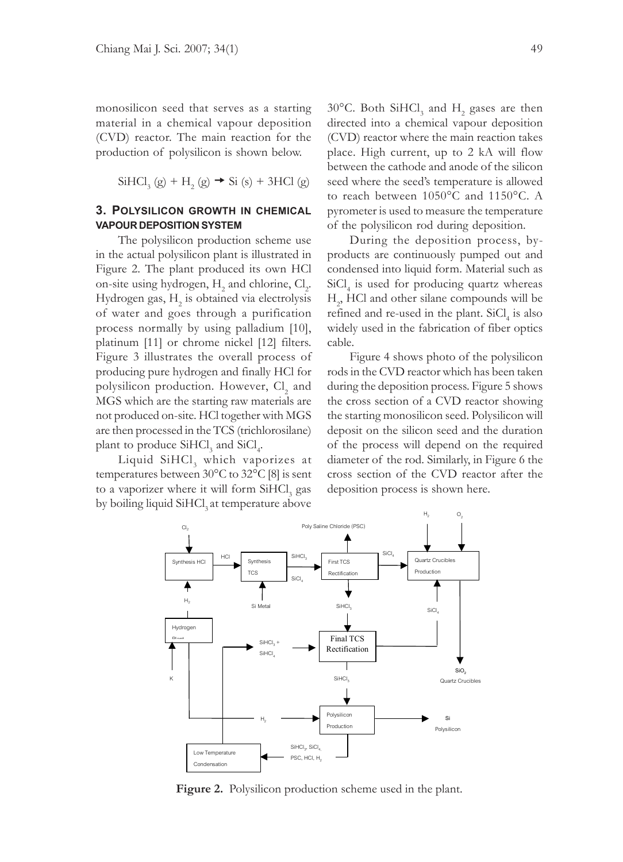monosilicon seed that serves as a starting material in a chemical vapour deposition (CVD) reactor. The main reaction for the production of polysilicon is shown below.

$$
SiHCl3(g) + H2(g) \rightarrow Si(s) + 3HCl(g)
$$

# **3. POLYSILICON GROWTH IN CHEMICAL VAPOUR DEPOSITION SYSTEM**

The polysilicon production scheme use in the actual polysilicon plant is illustrated in Figure 2. The plant produced its own HCl on-site using hydrogen,  $H_2$  and chlorine,  $Cl_2$ . Hydrogen gas,  $H_2$  is obtained via electrolysis of water and goes through a purification process normally by using palladium [10], platinum [11] or chrome nickel [12] filters. Figure 3 illustrates the overall process of producing pure hydrogen and finally HCl for polysilicon production. However,  $Cl<sub>2</sub>$  and MGS which are the starting raw materials are not produced on-site. HCl together with MGS are then processed in the TCS (trichlorosilane) plant to produce  $SiHCl<sub>3</sub>$  and  $SiCl<sub>4</sub>$ .

Liquid  $\text{SiHCl}_3$  which vaporizes at temperatures between 30°C to 32°C [8] is sent to a vaporizer where it will form  $\mathrm{SiHCl}_{3}$  gas by boiling liquid SiHCl<sub>3</sub> at temperature above

30°C. Both  $\text{SiHCl}_3$  and  $\text{H}_2$  gases are then directed into a chemical vapour deposition (CVD) reactor where the main reaction takes place. High current, up to 2 kA will flow between the cathode and anode of the silicon seed where the seed's temperature is allowed to reach between 1050°C and 1150°C. A pyrometer is used to measure the temperature of the polysilicon rod during deposition.

During the deposition process, byproducts are continuously pumped out and condensed into liquid form. Material such as SiCl<sub>4</sub> is used for producing quartz whereas H2 , HCl and other silane compounds will be refined and re-used in the plant.  $SiCl<sub>4</sub>$  is also widely used in the fabrication of fiber optics cable.

Figure 4 shows photo of the polysilicon rods in the CVD reactor which has been taken during the deposition process. Figure 5 shows the cross section of a CVD reactor showing the starting monosilicon seed. Polysilicon will deposit on the silicon seed and the duration of the process will depend on the required diameter of the rod. Similarly, in Figure 6 the cross section of the CVD reactor after the deposition process is shown here.



**Figure 2.** Polysilicon production scheme used in the plant.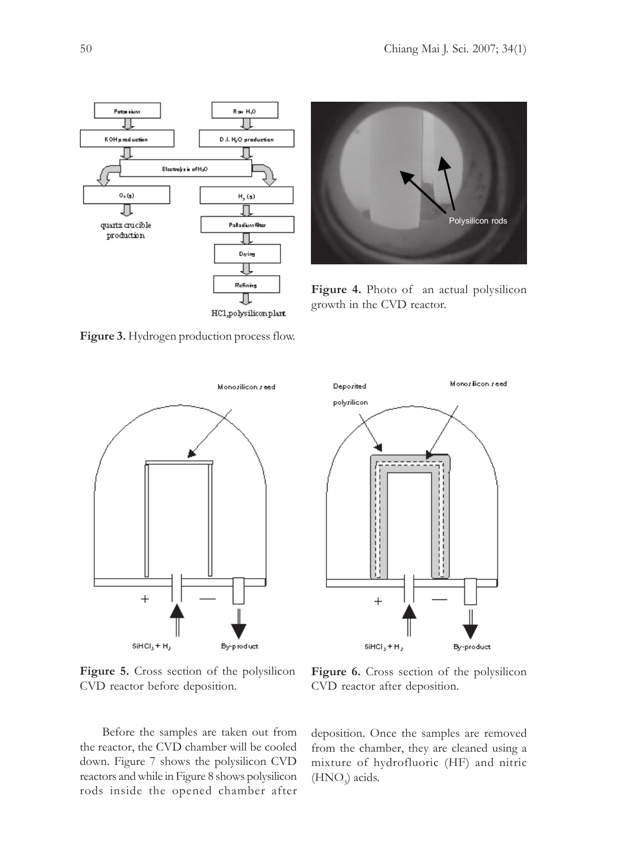



**Figure 4.** Photo of an actual polysilicon growth in the CVD reactor.

Deposited

Monoriticon reed





polyrilicon  $\overline{+}$  $SHCI<sub>3</sub> + H<sub>2</sub>$ By-product

**Figure 5.** Cross section of the polysilicon CVD reactor before deposition.

Before the samples are taken out from the reactor, the CVD chamber will be cooled down. Figure 7 shows the polysilicon CVD reactors and while in Figure 8 shows polysilicon rods inside the opened chamber after

**Figure 6.** Cross section of the polysilicon CVD reactor after deposition.

deposition. Once the samples are removed from the chamber, they are cleaned using a mixture of hydrofluoric (HF) and nitric  $(HNO<sub>3</sub>)$  acids.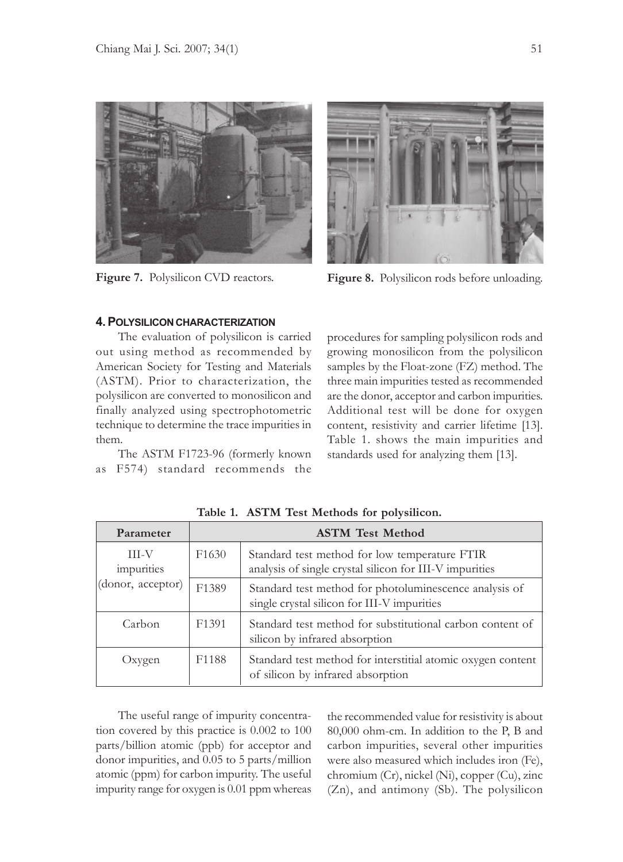



**Figure 7.** Polysilicon CVD reactors. **Figure 8.** Polysilicon rods before unloading.

## **4. POLYSILICON CHARACTERIZATION**

The evaluation of polysilicon is carried out using method as recommended by American Society for Testing and Materials (ASTM). Prior to characterization, the polysilicon are converted to monosilicon and finally analyzed using spectrophotometric technique to determine the trace impurities in them.

The ASTM F1723-96 (formerly known as F574) standard recommends the

procedures for sampling polysilicon rods and growing monosilicon from the polysilicon samples by the Float-zone (FZ) method. The three main impurities tested as recommended are the donor, acceptor and carbon impurities. Additional test will be done for oxygen content, resistivity and carrier lifetime [13]. Table 1. shows the main impurities and standards used for analyzing them [13].

| Parameter                                       | <b>ASTM Test Method</b> |                                                                                                          |
|-------------------------------------------------|-------------------------|----------------------------------------------------------------------------------------------------------|
| <b>III-V</b><br>impurities<br>(donor, acceptor) | F <sub>1630</sub>       | Standard test method for low temperature FTIR<br>analysis of single crystal silicon for III-V impurities |
|                                                 | F1389                   | Standard test method for photoluminescence analysis of<br>single crystal silicon for III-V impurities    |
| Carbon                                          | F <sub>1</sub> 391      | Standard test method for substitutional carbon content of<br>silicon by infrared absorption              |
| Oxygen                                          | F <sub>1188</sub>       | Standard test method for interstitial atomic oxygen content<br>of silicon by infrared absorption         |

**Table 1. ASTM Test Methods for polysilicon.**

The useful range of impurity concentration covered by this practice is 0.002 to 100 parts/billion atomic (ppb) for acceptor and donor impurities, and 0.05 to 5 parts/million atomic (ppm) for carbon impurity. The useful impurity range for oxygen is 0.01 ppm whereas

the recommended value for resistivity is about 80,000 ohm-cm. In addition to the P, B and carbon impurities, several other impurities were also measured which includes iron (Fe), chromium (Cr), nickel (Ni), copper (Cu), zinc (Zn), and antimony (Sb). The polysilicon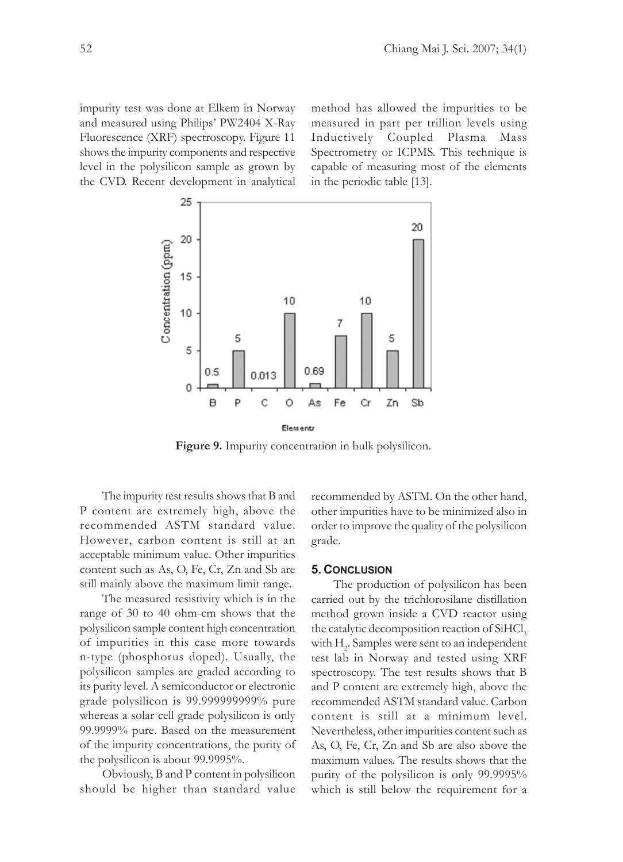impurity test was done at Elkem in Norway and measured using Philips' PW2404 X-Ray Fluorescence (XRF) spectroscopy. Figure 11 shows the impurity components and respective level in the polysilicon sample as grown by the CVD. Recent development in analytical

method has allowed the impurities to be measured in part per trillion levels using Inductively Coupled Plasma Mass Spectrometry or ICPMS. This technique is capable of measuring most of the elements in the periodic table [13].



**Figure 9.** Impurity concentration in bulk polysilicon.

The impurity test results shows that B and P content are extremely high, above the recommended ASTM standard value. However, carbon content is still at an acceptable minimum value. Other impurities content such as As, O, Fe, Cr, Zn and Sb are still mainly above the maximum limit range.

The measured resistivity which is in the range of 30 to 40 ohm-cm shows that the polysilicon sample content high concentration of impurities in this case more towards n-type (phosphorus doped)*.* Usually, the polysilicon samples are graded according to its purity level. A semiconductor or electronic grade polysilicon is 99.999999999% pure whereas a solar cell grade polysilicon is only 99.9999% pure. Based on the measurement of the impurity concentrations, the purity of the polysilicon is about 99.9995%.

Obviously, B and P content in polysilicon should be higher than standard value

recommended by ASTM. On the other hand, other impurities have to be minimized also in order to improve the quality of the polysilicon grade.

#### **5. CONCLUSION**

The production of polysilicon has been carried out by the trichlorosilane distillation method grown inside a CVD reactor using the catalytic decomposition reaction of SiHCl<sub>3</sub> with  $H_2$ . Samples were sent to an independent test lab in Norway and tested using XRF spectroscopy. The test results shows that B and P content are extremely high, above the recommended ASTM standard value. Carbon content is still at a minimum level. Nevertheless, other impurities content such as As, O, Fe, Cr, Zn and Sb are also above the maximum values. The results shows that the purity of the polysilicon is only 99.9995% which is still below the requirement for a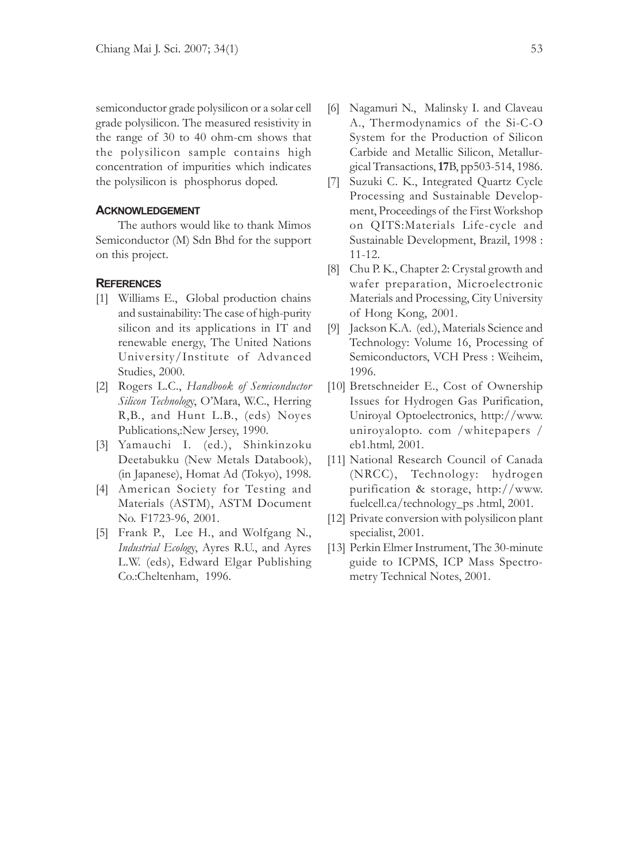semiconductor grade polysilicon or a solar cell grade polysilicon. The measured resistivity in the range of 30 to 40 ohm-cm shows that the polysilicon sample contains high concentration of impurities which indicates the polysilicon is phosphorus doped*.*

## **ACKNOWLEDGEMENT**

The authors would like to thank Mimos Semiconductor (M) Sdn Bhd for the support on this project.

## **REFERENCES**

- [1] Williams E., Global production chains and sustainability: The case of high-purity silicon and its applications in IT and renewable energy, The United Nations University/Institute of Advanced Studies, 2000.
- [2] Rogers L.C., *Handbook of Semiconductor Silicon Technolog*y, O'Mara, W.C., Herring R,B., and Hunt L.B., (eds) Noyes Publications,:New Jersey, 1990.
- [3] Yamauchi I. (ed.), Shinkinzoku Deetabukku (New Metals Databook), (in Japanese), Homat Ad (Tokyo), 1998.
- [4] American Society for Testing and Materials (ASTM), ASTM Document No. F1723-96, 2001.
- [5] Frank P., Lee H., and Wolfgang N., *Industrial Ecolog*y, Ayres R.U., and Ayres L.W. (eds), Edward Elgar Publishing Co.:Cheltenham, 1996.
- [6] Nagamuri N., Malinsky I. and Claveau A., Thermodynamics of the Si-C-O System for the Production of Silicon Carbide and Metallic Silicon, Metallurgical Transactions, **17**B, pp503-514, 1986.
- [7] Suzuki C. K., Integrated Quartz Cycle Processing and Sustainable Development, Proceedings of the First Workshop on QITS:Materials Life-cycle and Sustainable Development, Brazil, 1998 : 11-12.
- [8] Chu P. K., Chapter 2: Crystal growth and wafer preparation, Microelectronic Materials and Processing, City University of Hong Kong, 2001.
- [9] Jackson K.A. (ed.), Materials Science and Technology: Volume 16, Processing of Semiconductors, VCH Press : Weiheim, 1996.
- [10] Bretschneider E., Cost of Ownership Issues for Hydrogen Gas Purification, Uniroyal Optoelectronics, http://www. uniroyalopto. com /whitepapers / eb1.html*,* 2001.
- [11] National Research Council of Canada (NRCC), Technology: hydrogen purification & storage, http://www. fuelcell.ca/technology\_ps .html, 2001.
- [12] Private conversion with polysilicon plant specialist, 2001.
- [13] Perkin Elmer Instrument, The 30-minute guide to ICPMS, ICP Mass Spectrometry Technical Notes, 2001.